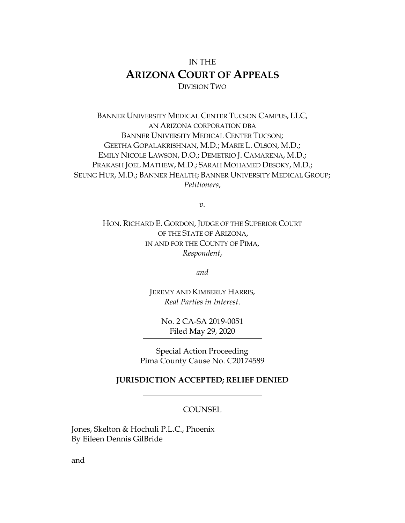# IN THE **ARIZONA COURT OF APPEALS** DIVISION TWO

BANNER UNIVERSITY MEDICAL CENTER TUCSON CAMPUS, LLC, AN ARIZONA CORPORATION DBA BANNER UNIVERSITY MEDICAL CENTER TUCSON; GEETHA GOPALAKRISHNAN, M.D.; MARIE L. OLSON, M.D.; EMILY NICOLE LAWSON, D.O.; DEMETRIO J. CAMARENA, M.D.; PRAKASH JOEL MATHEW, M.D.; SARAH MOHAMED DESOKY, M.D.; SEUNG HUR, M.D.; BANNER HEALTH; BANNER UNIVERSITY MEDICAL GROUP; *Petitioners*,

*v.*

HON. RICHARD E. GORDON, JUDGE OF THE SUPERIOR COURT OF THE STATE OF ARIZONA, IN AND FOR THE COUNTY OF PIMA, *Respondent*,

*and*

JEREMY AND KIMBERLY HARRIS, *Real Parties in Interest*.

> No. 2 CA[-SA 2019-0051](http://www.appeals2.az.gov/ODSPlus/ODSPlusdocs2.cfm?source=caseAssignment&caseTypecode=SA&caseyear=2019&casenumber=51) Filed May 29, 2020

Special Action Proceeding Pima County Cause No. C20174589

#### **JURISDICTION ACCEPTED; RELIEF DENIED**

#### **COUNSEL**

Jones, Skelton & Hochuli P.L.C., Phoenix By Eileen Dennis GilBride

and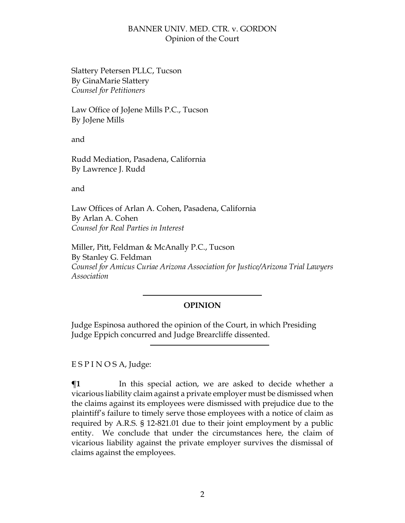Slattery Petersen PLLC, Tucson By GinaMarie Slattery *Counsel for Petitioners*

Law Office of JoJene Mills P.C., Tucson By JoJene Mills

and

Rudd Mediation, Pasadena, California By Lawrence J. Rudd

and

Law Offices of Arlan A. Cohen, Pasadena, California By Arlan A. Cohen *Counsel for Real Parties in Interest*

Miller, Pitt, Feldman & McAnally P.C., Tucson By Stanley G. Feldman *Counsel for Amicus Curiae Arizona Association for Justice/Arizona Trial Lawyers Association*

## **OPINION**

Judge Espinosa authored the opinion of the Court, in which Presiding Judge Eppich concurred and Judge Brearcliffe dissented.

E S P I N O S A, Judge:

 $\P$ **1** In this special action, we are asked to decide whether a vicarious liability claim against a private employer must be dismissed when the claims against its employees were dismissed with prejudice due to the plaintiff's failure to timely serve those employees with a notice of claim as required by A.R.S. § 12-821.01 due to their joint employment by a public entity. We conclude that under the circumstances here, the claim of vicarious liability against the private employer survives the dismissal of claims against the employees.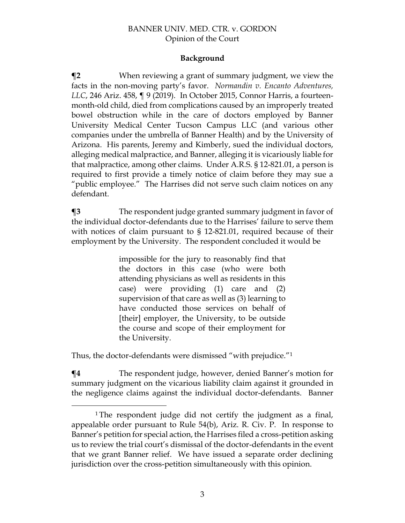### **Background**

**¶2** When reviewing a grant of summary judgment, we view the facts in the non-moving party's favor. *Normandin v. Encanto Adventures, LLC*, 246 Ariz. 458, ¶ 9 (2019). In October 2015, Connor Harris, a fourteenmonth-old child, died from complications caused by an improperly treated bowel obstruction while in the care of doctors employed by Banner University Medical Center Tucson Campus LLC (and various other companies under the umbrella of Banner Health) and by the University of Arizona. His parents, Jeremy and Kimberly, sued the individual doctors, alleging medical malpractice, and Banner, alleging it is vicariously liable for that malpractice, among other claims. Under A.R.S. § 12-821.01, a person is required to first provide a timely notice of claim before they may sue a "public employee." The Harrises did not serve such claim notices on any defendant.

**¶3** The respondent judge granted summary judgment in favor of the individual doctor-defendants due to the Harrises' failure to serve them with notices of claim pursuant to § 12-821.01, required because of their employment by the University. The respondent concluded it would be

> impossible for the jury to reasonably find that the doctors in this case (who were both attending physicians as well as residents in this case) were providing (1) care and (2) supervision of that care as well as (3) learning to have conducted those services on behalf of [their] employer, the University, to be outside the course and scope of their employment for the University.

Thus, the doctor-defendants were dismissed "with prejudice."<sup>1</sup>

 $\overline{a}$ 

**¶4** The respondent judge, however, denied Banner's motion for summary judgment on the vicarious liability claim against it grounded in the negligence claims against the individual doctor-defendants. Banner

<sup>&</sup>lt;sup>1</sup>The respondent judge did not certify the judgment as a final, appealable order pursuant to Rule 54(b), Ariz. R. Civ. P. In response to Banner's petition for special action, the Harrises filed a cross-petition asking us to review the trial court's dismissal of the doctor-defendants in the event that we grant Banner relief. We have issued a separate order declining jurisdiction over the cross-petition simultaneously with this opinion.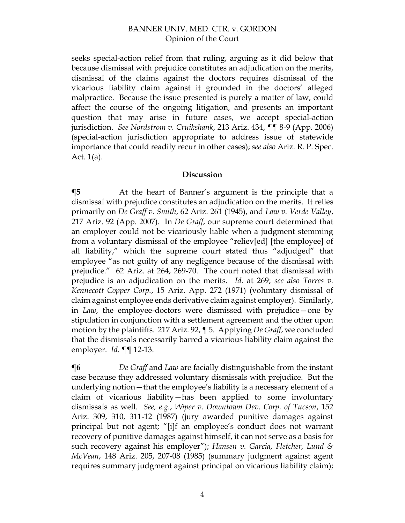seeks special-action relief from that ruling, arguing as it did below that because dismissal with prejudice constitutes an adjudication on the merits, dismissal of the claims against the doctors requires dismissal of the vicarious liability claim against it grounded in the doctors' alleged malpractice. Because the issue presented is purely a matter of law, could affect the course of the ongoing litigation, and presents an important question that may arise in future cases, we accept special-action jurisdiction. *See Nordstrom v. Cruikshank*, 213 Ariz. 434, ¶¶ 8-9 (App. 2006) (special-action jurisdiction appropriate to address issue of statewide importance that could readily recur in other cases); *see also* Ariz. R. P. Spec. Act. 1(a).

#### **Discussion**

**¶5** At the heart of Banner's argument is the principle that a dismissal with prejudice constitutes an adjudication on the merits. It relies primarily on *De Graff v. Smith*, 62 Ariz. 261 (1945), and *Law v. Verde Valley*, 217 Ariz. 92 (App. 2007). In *De Graff*, our supreme court determined that an employer could not be vicariously liable when a judgment stemming from a voluntary dismissal of the employee "reliev[ed] [the employee] of all liability," which the supreme court stated thus "adjudged" that employee "as not guilty of any negligence because of the dismissal with prejudice." 62 Ariz. at 264, 269-70. The court noted that dismissal with prejudice is an adjudication on the merits. *Id.* at 269; *see also Torres v. Kennecott Copper Corp.*, 15 Ariz. App. 272 (1971) (voluntary dismissal of claim against employee ends derivative claim against employer). Similarly, in *Law*, the employee-doctors were dismissed with prejudice—one by stipulation in conjunction with a settlement agreement and the other upon motion by the plaintiffs. 217 Ariz. 92, ¶ 5. Applying *De Graff*, we concluded that the dismissals necessarily barred a vicarious liability claim against the employer. *Id.* ¶¶ 12-13.

**¶6** *De Graff* and *Law* are facially distinguishable from the instant case because they addressed voluntary dismissals with prejudice. But the underlying notion—that the employee's liability is a necessary element of a claim of vicarious liability—has been applied to some involuntary dismissals as well. *See, e.g.*, *Wiper v. Downtown Dev. Corp. of Tucson*, 152 Ariz. 309, 310, 311-12 (1987) (jury awarded punitive damages against principal but not agent; "[i]f an employee's conduct does not warrant recovery of punitive damages against himself, it can not serve as a basis for such recovery against his employer"); *Hansen v. Garcia, Fletcher, Lund & McVean*, 148 Ariz. 205, 207-08 (1985) (summary judgment against agent requires summary judgment against principal on vicarious liability claim);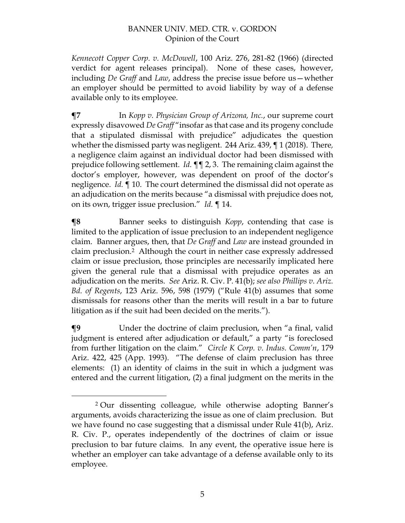*Kennecott Copper Corp. v. McDowell*, 100 Ariz. 276, 281-82 (1966) (directed verdict for agent releases principal). None of these cases, however, including *De Graff* and *Law*, address the precise issue before us—whether an employer should be permitted to avoid liability by way of a defense available only to its employee.

**¶7** In *Kopp v. Physician Group of Arizona, Inc.*, our supreme court expressly disavowed *De Graff* "insofar as that case and its progeny conclude that a stipulated dismissal with prejudice" adjudicates the question whether the dismissed party was negligent. 244 Ariz. 439, ¶ 1 (2018). There*,*  a negligence claim against an individual doctor had been dismissed with prejudice following settlement. *Id.* ¶¶ 2, 3. The remaining claim against the doctor's employer, however, was dependent on proof of the doctor's negligence. *Id.* ¶ 10. The court determined the dismissal did not operate as an adjudication on the merits because "a dismissal with prejudice does not, on its own, trigger issue preclusion." *Id.* ¶ 14.

**¶8** Banner seeks to distinguish *Kopp*, contending that case is limited to the application of issue preclusion to an independent negligence claim. Banner argues, then, that *De Graff* and *Law* are instead grounded in claim preclusion.2 Although the court in neither case expressly addressed claim or issue preclusion, those principles are necessarily implicated here given the general rule that a dismissal with prejudice operates as an adjudication on the merits. *See* Ariz. R. Civ. P. 41(b); *see also Phillips v. Ariz. Bd. of Regents*, 123 Ariz. 596, 598 (1979) ("Rule 41(b) assumes that some dismissals for reasons other than the merits will result in a bar to future litigation as if the suit had been decided on the merits.").

**¶9** Under the doctrine of claim preclusion, when "a final, valid judgment is entered after adjudication or default," a party "is foreclosed from further litigation on the claim." *Circle K Corp. v. Indus. Comm'n*, 179 Ariz. 422, 425 (App. 1993). "The defense of claim preclusion has three elements: (1) an identity of claims in the suit in which a judgment was entered and the current litigation, (2) a final judgment on the merits in the

<sup>2</sup> Our dissenting colleague, while otherwise adopting Banner's arguments, avoids characterizing the issue as one of claim preclusion. But we have found no case suggesting that a dismissal under Rule 41(b), Ariz. R. Civ. P., operates independently of the doctrines of claim or issue preclusion to bar future claims. In any event, the operative issue here is whether an employer can take advantage of a defense available only to its employee.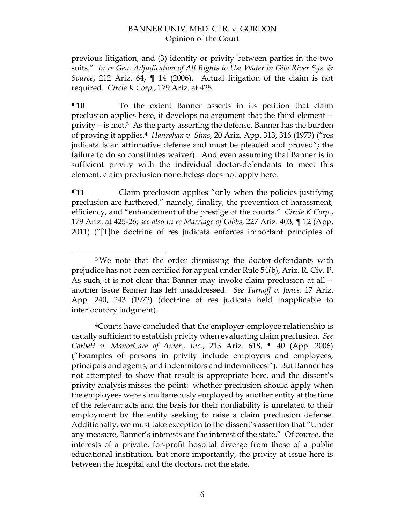previous litigation, and (3) identity or privity between parties in the two suits." *In re Gen. Adjudication of All Rights to Use Water in Gila River Sys. & Source*, 212 Ariz. 64, ¶ 14 (2006). Actual litigation of the claim is not required. *Circle K Corp.*, 179 Ariz. at 425.

**¶10** To the extent Banner asserts in its petition that claim preclusion applies here, it develops no argument that the third element privity  $-\text{is met.}^3$  As the party asserting the defense, Banner has the burden of proving it applies. <sup>4</sup> *Hanrahan v. Sims*, 20 Ariz. App. 313, 316 (1973) ("res judicata is an affirmative defense and must be pleaded and proved"; the failure to do so constitutes waiver). And even assuming that Banner is in sufficient privity with the individual doctor-defendants to meet this element, claim preclusion nonetheless does not apply here.

 $\P$ **11** Claim preclusion applies "only when the policies justifying preclusion are furthered," namely, finality, the prevention of harassment, efficiency, and "enhancement of the prestige of the courts*." Circle K Corp.*, 179 Ariz. at 425-26; *see also In re Marriage of Gibbs*, 227 Ariz. 403, ¶ 12 (App. 2011) ("[T]he doctrine of res judicata enforces important principles of

<sup>&</sup>lt;sup>3</sup>We note that the order dismissing the doctor-defendants with prejudice has not been certified for appeal under Rule 54(b), Ariz. R. Civ. P. As such, it is not clear that Banner may invoke claim preclusion at all another issue Banner has left unaddressed. *See Tarnoff v. Jones*, 17 Ariz. App. 240, 243 (1972) (doctrine of res judicata held inapplicable to interlocutory judgment).

<sup>4</sup>Courts have concluded that the employer-employee relationship is usually sufficient to establish privity when evaluating claim preclusion. *See Corbett v. ManorCare of Amer., Inc.*, 213 Ariz. 618, ¶ 40 (App. 2006) ("Examples of persons in privity include employers and employees, principals and agents, and indemnitors and indemnitees."). But Banner has not attempted to show that result is appropriate here, and the dissent's privity analysis misses the point: whether preclusion should apply when the employees were simultaneously employed by another entity at the time of the relevant acts and the basis for their nonliability is unrelated to their employment by the entity seeking to raise a claim preclusion defense. Additionally, we must take exception to the dissent's assertion that "Under any measure, Banner's interests are the interest of the state." Of course, the interests of a private, for-profit hospital diverge from those of a public educational institution, but more importantly, the privity at issue here is between the hospital and the doctors, not the state.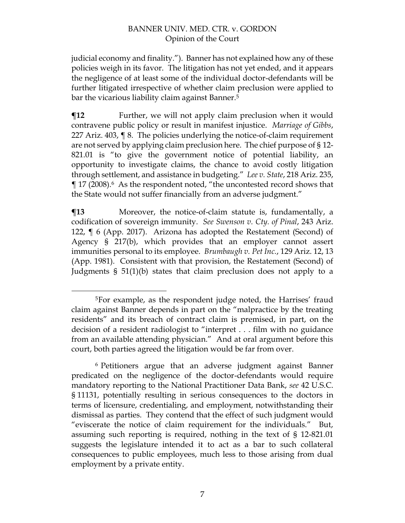judicial economy and finality."). Banner has not explained how any of these policies weigh in its favor. The litigation has not yet ended, and it appears the negligence of at least some of the individual doctor-defendants will be further litigated irrespective of whether claim preclusion were applied to bar the vicarious liability claim against Banner.<sup>5</sup>

**The Further, we will not apply claim preclusion when it would** contravene public policy or result in manifest injustice. *Marriage of Gibbs*, 227 Ariz. 403, ¶ 8. The policies underlying the notice-of-claim requirement are not served by applying claim preclusion here. The chief purpose of § 12- 821.01 is "to give the government notice of potential liability, an opportunity to investigate claims, the chance to avoid costly litigation through settlement, and assistance in budgeting." *Lee v. State*, 218 Ariz. 235, ¶ 17 (2008). <sup>6</sup> As the respondent noted, "the uncontested record shows that the State would not suffer financially from an adverse judgment."

**¶13** Moreover, the notice-of-claim statute is, fundamentally, a codification of sovereign immunity. *See Swenson v. Cty. of Pinal*, 243 Ariz. 122, ¶ 6 (App. 2017). Arizona has adopted the Restatement (Second) of Agency § 217(b), which provides that an employer cannot assert immunities personal to its employee. *Brumbaugh v. Pet Inc.*, 129 Ariz. 12, 13 (App. 1981). Consistent with that provision, the Restatement (Second) of Judgments § 51(1)(b) states that claim preclusion does not apply to a

<sup>5</sup>For example, as the respondent judge noted, the Harrises' fraud claim against Banner depends in part on the "malpractice by the treating residents" and its breach of contract claim is premised, in part, on the decision of a resident radiologist to "interpret . . . film with no guidance from an available attending physician." And at oral argument before this court, both parties agreed the litigation would be far from over.

<sup>6</sup> Petitioners argue that an adverse judgment against Banner predicated on the negligence of the doctor-defendants would require mandatory reporting to the National Practitioner Data Bank, *see* 42 U.S.C. § 11131, potentially resulting in serious consequences to the doctors in terms of licensure, credentialing, and employment, notwithstanding their dismissal as parties. They contend that the effect of such judgment would "eviscerate the notice of claim requirement for the individuals." But, assuming such reporting is required, nothing in the text of § 12-821.01 suggests the legislature intended it to act as a bar to such collateral consequences to public employees, much less to those arising from dual employment by a private entity.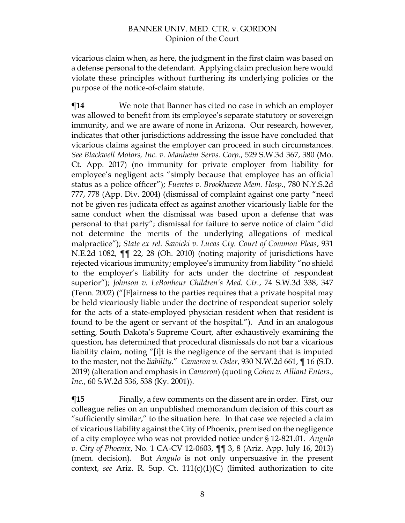vicarious claim when, as here, the judgment in the first claim was based on a defense personal to the defendant. Applying claim preclusion here would violate these principles without furthering its underlying policies or the purpose of the notice-of-claim statute.

**¶14** We note that Banner has cited no case in which an employer was allowed to benefit from its employee's separate statutory or sovereign immunity, and we are aware of none in Arizona. Our research, however, indicates that other jurisdictions addressing the issue have concluded that vicarious claims against the employer can proceed in such circumstances. *See Blackwell Motors, Inc. v. Manheim Servs. Corp.*, 529 S.W.3d 367, 380 (Mo. Ct. App. 2017) (no immunity for private employer from liability for employee's negligent acts "simply because that employee has an official status as a police officer"); *Fuentes v. Brookhaven Mem. Hosp.*, 780 N.Y.S.2d 777, 778 (App. Div. 2004) (dismissal of complaint against one party "need not be given res judicata effect as against another vicariously liable for the same conduct when the dismissal was based upon a defense that was personal to that party"; dismissal for failure to serve notice of claim "did not determine the merits of the underlying allegations of medical malpractice"); *State ex rel. Sawicki v. Lucas Cty. Court of Common Pleas*, 931 N.E.2d 1082, ¶¶ 22, 28 (Oh. 2010) (noting majority of jurisdictions have rejected vicarious immunity; employee's immunity from liability "no shield to the employer's liability for acts under the doctrine of respondeat superior"); *Johnson v. LeBonheur Children's Med. Ctr.*, 74 S.W.3d 338, 347 (Tenn. 2002) ("[F]airness to the parties requires that a private hospital may be held vicariously liable under the doctrine of respondeat superior solely for the acts of a state-employed physician resident when that resident is found to be the agent or servant of the hospital."). And in an analogous setting, South Dakota's Supreme Court, after exhaustively examining the question, has determined that procedural dismissals do not bar a vicarious liability claim, noting "[i]t is the negligence of the servant that is imputed to the master, not the *liability*." *Cameron v. Osler*, 930 N.W.2d 661, ¶ 16 (S.D. 2019) (alteration and emphasis in *Cameron*) (quoting *Cohen v. Alliant Enters., Inc.*, 60 S.W.2d 536, 538 (Ky. 2001)).

 $\P$ **15** Finally, a few comments on the dissent are in order. First, our colleague relies on an unpublished memorandum decision of this court as "sufficiently similar," to the situation here. In that case we rejected a claim of vicarious liability against the City of Phoenix, premised on the negligence of a city employee who was not provided notice under § 12-821.01. *Angulo v. City of Phoenix*, No. 1 CA-CV 12-0603, ¶¶ 3, 8 (Ariz. App. July 16, 2013) (mem. decision). But *Angulo* is not only unpersuasive in the present context, *see* Ariz. R. Sup. Ct. 111(c)(1)(C) (limited authorization to cite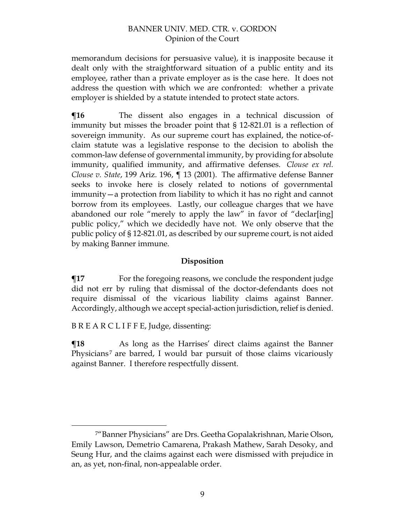memorandum decisions for persuasive value), it is inapposite because it dealt only with the straightforward situation of a public entity and its employee, rather than a private employer as is the case here. It does not address the question with which we are confronted: whether a private employer is shielded by a statute intended to protect state actors.

**¶16** The dissent also engages in a technical discussion of immunity but misses the broader point that § 12-821.01 is a reflection of sovereign immunity. As our supreme court has explained, the notice-ofclaim statute was a legislative response to the decision to abolish the common-law defense of governmental immunity, by providing for absolute immunity, qualified immunity, and affirmative defenses. *Clouse ex rel. Clouse v. State*, 199 Ariz. 196, ¶ 13 (2001). The affirmative defense Banner seeks to invoke here is closely related to notions of governmental immunity—a protection from liability to which it has no right and cannot borrow from its employees.Lastly, our colleague charges that we have abandoned our role "merely to apply the law" in favor of "declar[ing] public policy," which we decidedly have not. We only observe that the public policy of § 12-821.01, as described by our supreme court, is not aided by making Banner immune.

### **Disposition**

**¶17** For the foregoing reasons, we conclude the respondent judge did not err by ruling that dismissal of the doctor-defendants does not require dismissal of the vicarious liability claims against Banner. Accordingly, although we accept special-action jurisdiction, relief is denied.

B R E A R C L I F F E, Judge, dissenting:

 $\overline{a}$ 

**The Term** As long as the Harrises' direct claims against the Banner Physicians<sup>7</sup> are barred, I would bar pursuit of those claims vicariously against Banner. I therefore respectfully dissent.

<sup>7</sup>"Banner Physicians" are Drs. Geetha Gopalakrishnan, Marie Olson, Emily Lawson, Demetrio Camarena, Prakash Mathew, Sarah Desoky, and Seung Hur, and the claims against each were dismissed with prejudice in an, as yet, non-final, non-appealable order.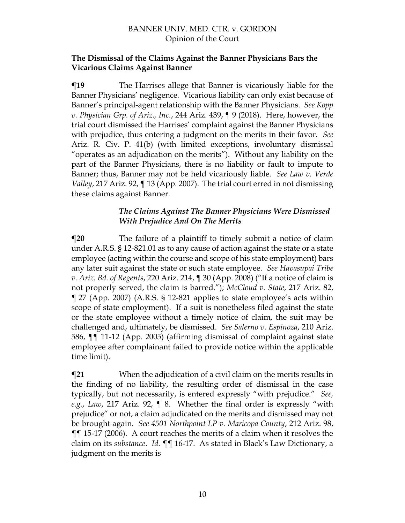#### **The Dismissal of the Claims Against the Banner Physicians Bars the Vicarious Claims Against Banner**

**¶19** The Harrises allege that Banner is vicariously liable for the Banner Physicians' negligence. Vicarious liability can only exist because of Banner's principal-agent relationship with the Banner Physicians. *See Kopp v. Physician Grp. of Ariz., Inc.*, 244 Ariz. 439, ¶ 9 (2018). Here, however, the trial court dismissed the Harrises' complaint against the Banner Physicians with prejudice, thus entering a judgment on the merits in their favor. *See* Ariz. R. Civ. P. 41(b) (with limited exceptions, involuntary dismissal "operates as an adjudication on the merits"). Without any liability on the part of the Banner Physicians, there is no liability or fault to impute to Banner; thus, Banner may not be held vicariously liable. *See Law v. Verde Valley*, 217 Ariz. 92, ¶ 13 (App. 2007). The trial court erred in not dismissing these claims against Banner.

### *The Claims Against The Banner Physicians Were Dismissed With Prejudice And On The Merits*

**¶20** The failure of a plaintiff to timely submit a notice of claim under A.R.S. § 12-821.01 as to any cause of action against the state or a state employee (acting within the course and scope of his state employment) bars any later suit against the state or such state employee. *See Havasupai Tribe v. Ariz. Bd. of Regents*, 220 Ariz. 214, ¶ 30 (App. 2008) ("If a notice of claim is not properly served, the claim is barred."); *McCloud v. State*, 217 Ariz. 82, ¶ 27 (App. 2007) (A.R.S. § 12-821 applies to state employee's acts within scope of state employment). If a suit is nonetheless filed against the state or the state employee without a timely notice of claim, the suit may be challenged and, ultimately, be dismissed. *See Salerno v. Espinoza*, 210 Ariz. 586, ¶¶ 11-12 (App. 2005) (affirming dismissal of complaint against state employee after complainant failed to provide notice within the applicable time limit).

 $\P$ **21** When the adjudication of a civil claim on the merits results in the finding of no liability, the resulting order of dismissal in the case typically, but not necessarily, is entered expressly "with prejudice." *See, e.g.*, *Law*, 217 Ariz. 92, ¶ 8. Whether the final order is expressly "with prejudice" or not, a claim adjudicated on the merits and dismissed may not be brought again. *See 4501 Northpoint LP v. Maricopa County*, 212 Ariz. 98, ¶¶ 15-17 (2006). A court reaches the merits of a claim when it resolves the claim on its *substance*. *Id.* ¶¶ 16-17. As stated in Black's Law Dictionary, a judgment on the merits is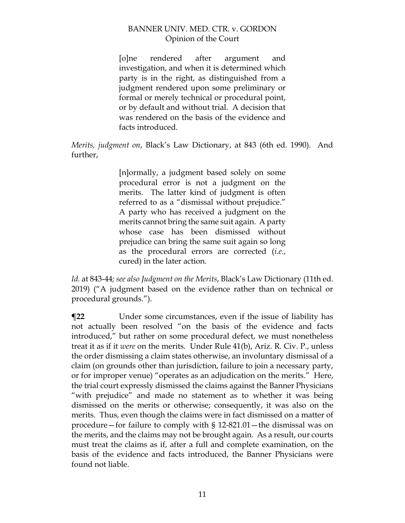[o]ne rendered after argument and investigation, and when it is determined which party is in the right, as distinguished from a judgment rendered upon some preliminary or formal or merely technical or procedural point, or by default and without trial. A decision that was rendered on the basis of the evidence and facts introduced.

*Merits, judgment on*, Black's Law Dictionary, at 843 (6th ed. 1990). And further,

> [n]ormally, a judgment based solely on some procedural error is not a judgment on the merits. The latter kind of judgment is often referred to as a "dismissal without prejudice." A party who has received a judgment on the merits cannot bring the same suit again. A party whose case has been dismissed without prejudice can bring the same suit again so long as the procedural errors are corrected (*i.e.*, cured) in the later action.

*Id.* at 843-44*; see also Judgment on the Merits*, Black's Law Dictionary (11th ed. 2019) ("A judgment based on the evidence rather than on technical or procedural grounds.").

**¶22** Under some circumstances, even if the issue of liability has not actually been resolved "on the basis of the evidence and facts introduced," but rather on some procedural defect, we must nonetheless treat it as if it *were* on the merits. Under Rule 41(b), Ariz. R. Civ. P., unless the order dismissing a claim states otherwise, an involuntary dismissal of a claim (on grounds other than jurisdiction, failure to join a necessary party, or for improper venue) "operates as an adjudication on the merits." Here, the trial court expressly dismissed the claims against the Banner Physicians "with prejudice" and made no statement as to whether it was being dismissed on the merits or otherwise; consequently, it was also on the merits. Thus, even though the claims were in fact dismissed on a matter of procedure—for failure to comply with § 12-821.01—the dismissal was on the merits, and the claims may not be brought again. As a result, our courts must treat the claims as if, after a full and complete examination, on the basis of the evidence and facts introduced, the Banner Physicians were found not liable.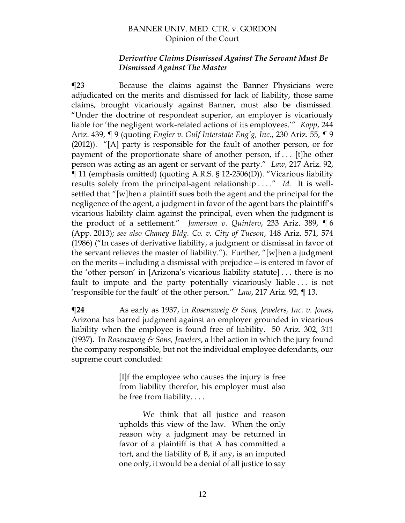#### *Derivative Claims Dismissed Against The Servant Must Be Dismissed Against The Master*

**¶23** Because the claims against the Banner Physicians were adjudicated on the merits and dismissed for lack of liability, those same claims, brought vicariously against Banner, must also be dismissed. "Under the doctrine of respondeat superior, an employer is vicariously liable for 'the negligent work-related actions of its employees.'" *Kopp*, 244 Ariz. 439, ¶ 9 (quoting *Engler v. Gulf Interstate Eng'g, Inc.*, 230 Ariz. 55, ¶ 9 (2012)). "[A] party is responsible for the fault of another person, or for payment of the proportionate share of another person, if . . . [t]he other person was acting as an agent or servant of the party." *Law*, 217 Ariz. 92, ¶ 11 (emphasis omitted) (quoting A.R.S. § 12-2506(D)). "Vicarious liability results solely from the principal-agent relationship . . . ." *Id.* It is wellsettled that "[w]hen a plaintiff sues both the agent and the principal for the negligence of the agent, a judgment in favor of the agent bars the plaintiff's vicarious liability claim against the principal, even when the judgment is the product of a settlement." *Jamerson v. Quintero*, 233 Ariz. 389, ¶ 6 (App. 2013); *see also Chaney Bldg. Co. v. City of Tucson*, 148 Ariz. 571, 574 (1986) ("In cases of derivative liability, a judgment or dismissal in favor of the servant relieves the master of liability."). Further, "[w]hen a judgment on the merits—including a dismissal with prejudice—is entered in favor of the 'other person' in [Arizona's vicarious liability statute] . . . there is no fault to impute and the party potentially vicariously liable . . . is not 'responsible for the fault' of the other person." *Law*, 217 Ariz. 92, ¶ 13.

**¶24** As early as 1937, in *Rosenzweig & Sons, Jewelers, Inc. v. Jones*, Arizona has barred judgment against an employer grounded in vicarious liability when the employee is found free of liability. 50 Ariz. 302, 311 (1937). In *Rosenzweig & Sons, Jewelers*, a libel action in which the jury found the company responsible, but not the individual employee defendants, our supreme court concluded:

> [I]f the employee who causes the injury is free from liability therefor, his employer must also be free from liability. . . .

> We think that all justice and reason upholds this view of the law. When the only reason why a judgment may be returned in favor of a plaintiff is that A has committed a tort, and the liability of B, if any, is an imputed one only, it would be a denial of all justice to say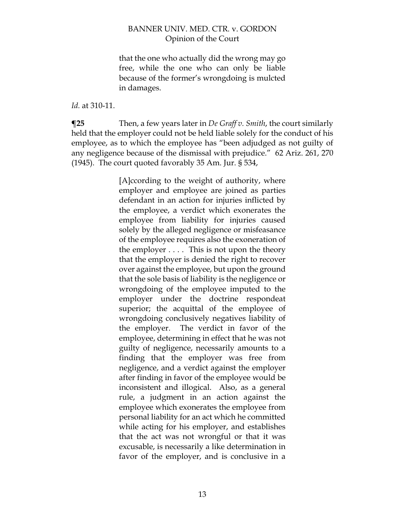that the one who actually did the wrong may go free, while the one who can only be liable because of the former's wrongdoing is mulcted in damages.

#### *Id.* at 310-11.

**¶25** Then, a few years later in *De Graff v. Smith*, the court similarly held that the employer could not be held liable solely for the conduct of his employee, as to which the employee has "been adjudged as not guilty of any negligence because of the dismissal with prejudice." 62 Ariz. 261, 270 (1945). The court quoted favorably 35 Am. Jur. § 534,

> [A]ccording to the weight of authority, where employer and employee are joined as parties defendant in an action for injuries inflicted by the employee, a verdict which exonerates the employee from liability for injuries caused solely by the alleged negligence or misfeasance of the employee requires also the exoneration of the employer  $\dots$ . This is not upon the theory that the employer is denied the right to recover over against the employee, but upon the ground that the sole basis of liability is the negligence or wrongdoing of the employee imputed to the employer under the doctrine respondeat superior; the acquittal of the employee of wrongdoing conclusively negatives liability of the employer. The verdict in favor of the employee, determining in effect that he was not guilty of negligence, necessarily amounts to a finding that the employer was free from negligence, and a verdict against the employer after finding in favor of the employee would be inconsistent and illogical. Also, as a general rule, a judgment in an action against the employee which exonerates the employee from personal liability for an act which he committed while acting for his employer, and establishes that the act was not wrongful or that it was excusable, is necessarily a like determination in favor of the employer, and is conclusive in a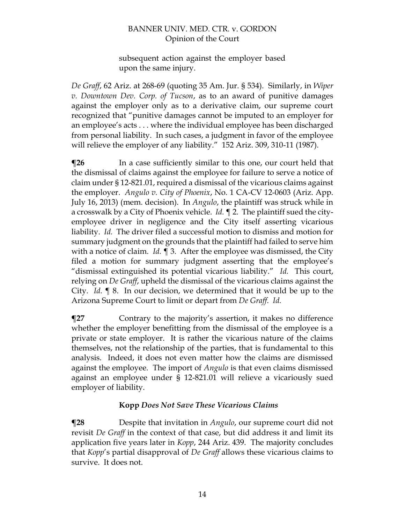subsequent action against the employer based upon the same injury.

*De Graff*, 62 Ariz. at 268-69 (quoting 35 Am. Jur. § 534). Similarly, in *Wiper v. Downtown Dev. Corp. of Tucson*, as to an award of punitive damages against the employer only as to a derivative claim, our supreme court recognized that "punitive damages cannot be imputed to an employer for an employee's acts . . . where the individual employee has been discharged from personal liability. In such cases, a judgment in favor of the employee will relieve the employer of any liability." 152 Ariz. 309, 310-11 (1987).

**¶26** In a case sufficiently similar to this one, our court held that the dismissal of claims against the employee for failure to serve a notice of claim under § 12-821.01, required a dismissal of the vicarious claims against the employer. *Angulo v. City of Phoenix*, No. 1 CA-CV 12-0603 (Ariz. App. July 16, 2013) (mem. decision). In *Angulo*, the plaintiff was struck while in a crosswalk by a City of Phoenix vehicle. *Id.* ¶ 2. The plaintiff sued the cityemployee driver in negligence and the City itself asserting vicarious liability. *Id.* The driver filed a successful motion to dismiss and motion for summary judgment on the grounds that the plaintiff had failed to serve him with a notice of claim. *Id.* ¶ 3. After the employee was dismissed, the City filed a motion for summary judgment asserting that the employee's "dismissal extinguished its potential vicarious liability." *Id.* This court, relying on *De Graff*, upheld the dismissal of the vicarious claims against the City. *Id.* ¶ 8.In our decision, we determined that it would be up to the Arizona Supreme Court to limit or depart from *De Graff*. *Id.*

**¶27** Contrary to the majority's assertion, it makes no difference whether the employer benefitting from the dismissal of the employee is a private or state employer. It is rather the vicarious nature of the claims themselves, not the relationship of the parties, that is fundamental to this analysis. Indeed, it does not even matter how the claims are dismissed against the employee. The import of *Angulo* is that even claims dismissed against an employee under § 12-821.01 will relieve a vicariously sued employer of liability.

## **Kopp** *Does Not Save These Vicarious Claims*

**¶28** Despite that invitation in *Angulo*, our supreme court did not revisit *De Graff* in the context of that case, but did address it and limit its application five years later in *Kopp*, 244 Ariz. 439. The majority concludes that *Kopp*'s partial disapproval of *De Graff* allows these vicarious claims to survive. It does not.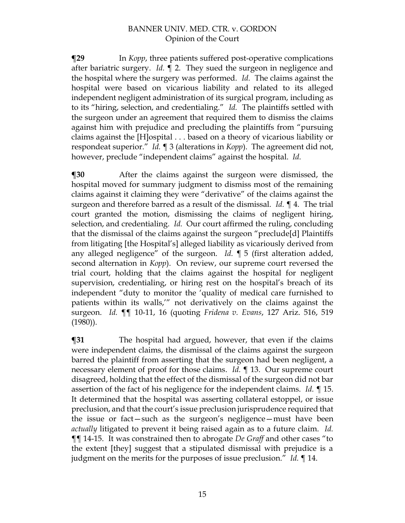**¶29** In *Kopp*, three patients suffered post-operative complications after bariatric surgery. *Id.* ¶ 2. They sued the surgeon in negligence and the hospital where the surgery was performed. *Id.* The claims against the hospital were based on vicarious liability and related to its alleged independent negligent administration of its surgical program, including as to its "hiring, selection, and credentialing." *Id.* The plaintiffs settled with the surgeon under an agreement that required them to dismiss the claims against him with prejudice and precluding the plaintiffs from "pursuing claims against the [H]ospital . . . based on a theory of vicarious liability or respondeat superior." *Id.* ¶ 3 (alterations in *Kopp*). The agreement did not, however, preclude "independent claims" against the hospital. *Id.*

**¶30** After the claims against the surgeon were dismissed, the hospital moved for summary judgment to dismiss most of the remaining claims against it claiming they were "derivative" of the claims against the surgeon and therefore barred as a result of the dismissal. *Id.* ¶ 4. The trial court granted the motion, dismissing the claims of negligent hiring, selection, and credentialing. *Id.* Our court affirmed the ruling, concluding that the dismissal of the claims against the surgeon "preclude[d] Plaintiffs from litigating [the Hospital's] alleged liability as vicariously derived from any alleged negligence" of the surgeon. *Id. ¶* 5 (first alteration added, second alternation in *Kopp*). On review, our supreme court reversed the trial court, holding that the claims against the hospital for negligent supervision, credentialing, or hiring rest on the hospital's breach of its independent "duty to monitor the 'quality of medical care furnished to patients within its walls,'" not derivatively on the claims against the surgeon. *Id.* ¶¶ 10-11, 16 (quoting *Fridena v. Evans*, 127 Ariz. 516, 519 (1980)).

**¶31** The hospital had argued, however, that even if the claims were independent claims, the dismissal of the claims against the surgeon barred the plaintiff from asserting that the surgeon had been negligent, a necessary element of proof for those claims. *Id.* ¶ 13. Our supreme court disagreed, holding that the effect of the dismissal of the surgeon did not bar assertion of the fact of his negligence for the independent claims. *Id.* ¶ 15. It determined that the hospital was asserting collateral estoppel, or issue preclusion, and that the court's issue preclusion jurisprudence required that the issue or fact—such as the surgeon's negligence—must have been *actually* litigated to prevent it being raised again as to a future claim. *Id.* ¶¶ 14-15. It was constrained then to abrogate *De Graff* and other cases "to the extent [they] suggest that a stipulated dismissal with prejudice is a judgment on the merits for the purposes of issue preclusion." *Id.* ¶ 14.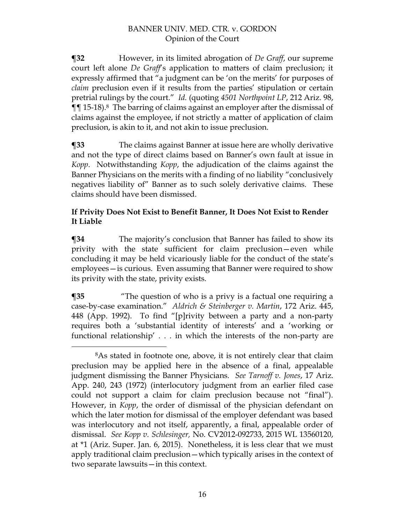**¶32** However, in its limited abrogation of *De Graff*, our supreme court left alone *De Graff*'s application to matters of claim preclusion; it expressly affirmed that "a judgment can be 'on the merits' for purposes of *claim* preclusion even if it results from the parties' stipulation or certain pretrial rulings by the court." *Id.* (quoting *4501 Northpoint LP*, 212 Ariz. 98, ¶¶ 15-18).8 The barring of claims against an employer after the dismissal of claims against the employee, if not strictly a matter of application of claim preclusion, is akin to it, and not akin to issue preclusion.

**¶33** The claims against Banner at issue here are wholly derivative and not the type of direct claims based on Banner's own fault at issue in *Kopp*. Notwithstanding *Kopp*, the adjudication of the claims against the Banner Physicians on the merits with a finding of no liability "conclusively negatives liability of" Banner as to such solely derivative claims. These claims should have been dismissed.

## **If Privity Does Not Exist to Benefit Banner, It Does Not Exist to Render It Liable**

**¶34** The majority's conclusion that Banner has failed to show its privity with the state sufficient for claim preclusion—even while concluding it may be held vicariously liable for the conduct of the state's employees—is curious. Even assuming that Banner were required to show its privity with the state, privity exists.

**[35** *"The question of who is a privy is a factual one requiring a* case-by-case examination." *Aldrich & Steinberger v. Martin*, 172 Ariz. 445, 448 (App. 1992). To find "[p]rivity between a party and a non-party requires both a 'substantial identity of interests' and a 'working or functional relationship' . . . in which the interests of the non-party are

<sup>8</sup>As stated in footnote one, above, it is not entirely clear that claim preclusion may be applied here in the absence of a final, appealable judgment dismissing the Banner Physicians. *See Tarnoff v. Jones*, 17 Ariz. App. 240, 243 (1972) (interlocutory judgment from an earlier filed case could not support a claim for claim preclusion because not "final"). However, in *Kopp*, the order of dismissal of the physician defendant on which the later motion for dismissal of the employer defendant was based was interlocutory and not itself, apparently, a final, appealable order of dismissal. *See Kopp v. Schlesinger,* No. CV2012-092733, 2015 WL 13560120, at \*1 (Ariz. Super. Jan. 6, 2015). Nonetheless, it is less clear that we must apply traditional claim preclusion—which typically arises in the context of two separate lawsuits—in this context.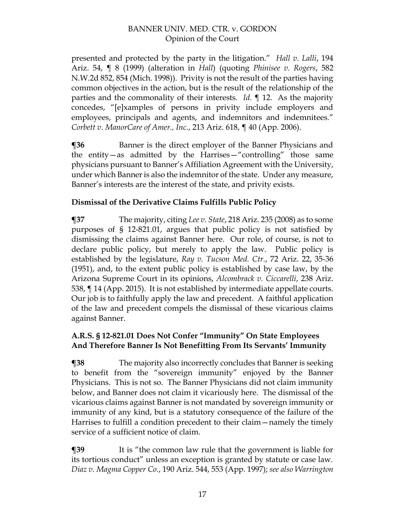presented and protected by the party in the litigation." *Hall v. Lalli*, 194 Ariz. 54, ¶ 8 (1999) (alteration in *Hall*) (quoting *Phinisee v. Rogers*, 582 N.W.2d 852, 854 (Mich. 1998)). Privity is not the result of the parties having common objectives in the action, but is the result of the relationship of the parties and the commonality of their interests. *Id.* ¶ 12. As the majority concedes, "[e]xamples of persons in privity include employers and employees, principals and agents, and indemnitors and indemnitees." *Corbett v. ManorCare of Amer., Inc.*, 213 Ariz. 618, ¶ 40 (App. 2006).

**¶36** Banner is the direct employer of the Banner Physicians and the entity—as admitted by the Harrises—"controlling" those same physicians pursuant to Banner's Affiliation Agreement with the University, under which Banner is also the indemnitor of the state. Under any measure, Banner's interests are the interest of the state, and privity exists.

## **Dismissal of the Derivative Claims Fulfills Public Policy**

**¶37** The majority, citing *Lee v. State*, 218 Ariz. 235 (2008) as to some purposes of § 12-821.01, argues that public policy is not satisfied by dismissing the claims against Banner here. Our role, of course, is not to declare public policy, but merely to apply the law. Public policy is established by the legislature, *Ray v. Tucson Med. Ctr.*, 72 Ariz. 22, 35-36 (1951), and, to the extent public policy is established by case law, by the Arizona Supreme Court in its opinions, *Alcombrack v. Ciccarelli*, 238 Ariz. 538, ¶ 14 (App. 2015). It is not established by intermediate appellate courts. Our job is to faithfully apply the law and precedent. A faithful application of the law and precedent compels the dismissal of these vicarious claims against Banner.

## **A.R.S. § 12-821.01 Does Not Confer "Immunity" On State Employees And Therefore Banner Is Not Benefitting From Its Servants' Immunity**

**¶38** The majority also incorrectly concludes that Banner is seeking to benefit from the "sovereign immunity" enjoyed by the Banner Physicians. This is not so. The Banner Physicians did not claim immunity below, and Banner does not claim it vicariously here. The dismissal of the vicarious claims against Banner is not mandated by sovereign immunity or immunity of any kind, but is a statutory consequence of the failure of the Harrises to fulfill a condition precedent to their claim—namely the timely service of a sufficient notice of claim.

**¶39** It is "the common law rule that the government is liable for its tortious conduct" unless an exception is granted by statute or case law. *Diaz v. Magma Copper Co.*, 190 Ariz. 544, 553 (App. 1997); *see also Warrington*